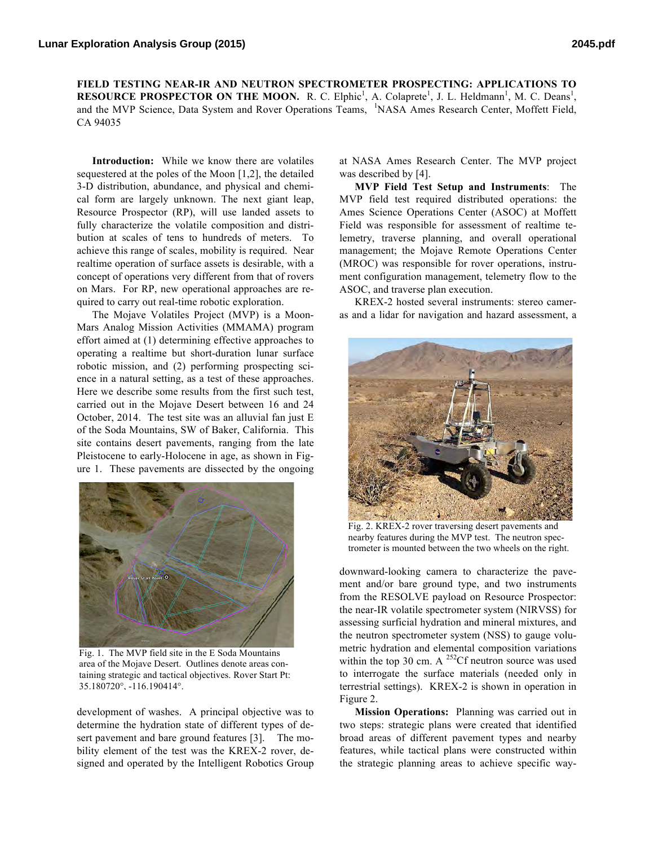**FIELD TESTING NEAR-IR AND NEUTRON SPECTROMETER PROSPECTING: APPLICATIONS TO RESOURCE PROSPECTOR ON THE MOON.** R. C. Elphic<sup>1</sup>, A. Colaprete<sup>1</sup>, J. L. Heldmann<sup>1</sup>, M. C. Deans<sup>1</sup>, and the MVP Science, Data System and Rover Operations Teams, <sup>1</sup>NASA Ames Research Center, Moffett Field, CA 94035

**Introduction:** While we know there are volatiles sequestered at the poles of the Moon [1,2], the detailed 3-D distribution, abundance, and physical and chemical form are largely unknown. The next giant leap, Resource Prospector (RP), will use landed assets to fully characterize the volatile composition and distribution at scales of tens to hundreds of meters. To achieve this range of scales, mobility is required. Near realtime operation of surface assets is desirable, with a concept of operations very different from that of rovers on Mars. For RP, new operational approaches are required to carry out real-time robotic exploration.

The Mojave Volatiles Project (MVP) is a Moon-Mars Analog Mission Activities (MMAMA) program effort aimed at (1) determining effective approaches to operating a realtime but short-duration lunar surface robotic mission, and (2) performing prospecting science in a natural setting, as a test of these approaches. Here we describe some results from the first such test, carried out in the Mojave Desert between 16 and 24 October, 2014. The test site was an alluvial fan just E of the Soda Mountains, SW of Baker, California. This site contains desert pavements, ranging from the late Pleistocene to early-Holocene in age, as shown in Figure 1. These pavements are dissected by the ongoing



Fig. 1. The MVP field site in the E Soda Mountains area of the Mojave Desert. Outlines denote areas containing strategic and tactical objectives. Rover Start Pt: 35.180720°, -116.190414°.

development of washes. A principal objective was to determine the hydration state of different types of desert pavement and bare ground features [3]. The mobility element of the test was the KREX-2 rover, designed and operated by the Intelligent Robotics Group at NASA Ames Research Center. The MVP project was described by [4].

**MVP Field Test Setup and Instruments**: The MVP field test required distributed operations: the Ames Science Operations Center (ASOC) at Moffett Field was responsible for assessment of realtime telemetry, traverse planning, and overall operational management; the Mojave Remote Operations Center (MROC) was responsible for rover operations, instrument configuration management, telemetry flow to the ASOC, and traverse plan execution.

KREX-2 hosted several instruments: stereo cameras and a lidar for navigation and hazard assessment, a



Fig. 2. KREX-2 rover traversing desert pavements and nearby features during the MVP test. The neutron spectrometer is mounted between the two wheels on the right.

downward-looking camera to characterize the pavement and/or bare ground type, and two instruments from the RESOLVE payload on Resource Prospector: the near-IR volatile spectrometer system (NIRVSS) for assessing surficial hydration and mineral mixtures, and the neutron spectrometer system (NSS) to gauge volumetric hydration and elemental composition variations within the top 30 cm. A  $^{252}$ Cf neutron source was used to interrogate the surface materials (needed only in terrestrial settings). KREX-2 is shown in operation in Figure 2.

**Mission Operations:** Planning was carried out in two steps: strategic plans were created that identified broad areas of different pavement types and nearby features, while tactical plans were constructed within the strategic planning areas to achieve specific way